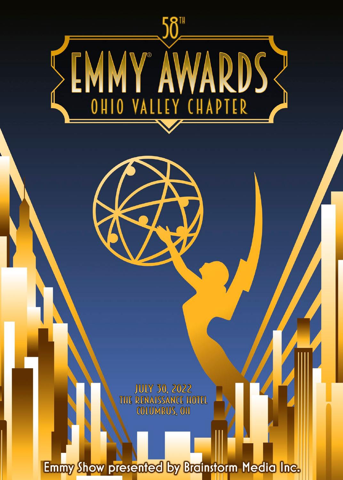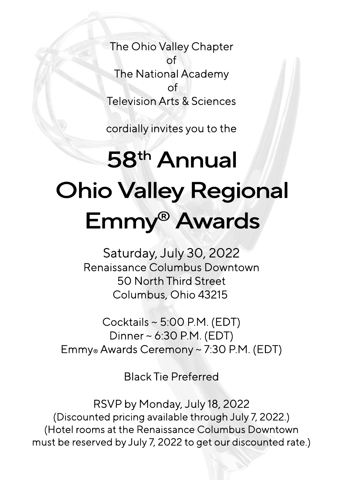The Ohio Valley Chapter of The National Academy of TelevisionArts&Sciences

cordially invites you to the

# 58<sup>th</sup> Annual **Ohio Valley Regional** Emmy®Awards

Saturday, July 30, 2022 Renaissance Columbus Downtown 50 North Third Street Columbus, Ohio 43215

Cocktails  $\sim$  5:00 P.M. (EDT) Dinner~6:30 P.M. (EDT) Emmy® Awards Ceremony ~ 7:30 P.M. (EDT)

**Black Tie Preferred** 

RSVP by Monday, July 18, 2022 (Discounted pricing available through July 7, 2022.) (Hotel rooms at the Renaissance Columbus Downtown must be reserved by July 7, 2022 to get our discounted rate.)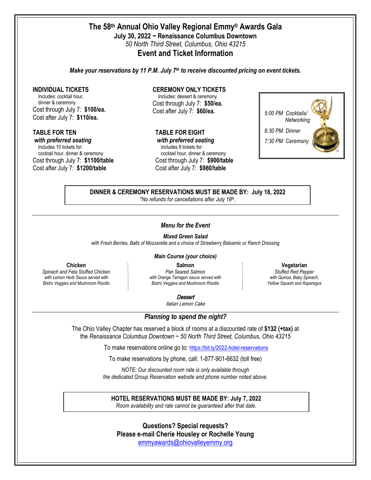## **The 58th Annual Ohio Valley Regional Emmy® Awards Gala July 30, 2022 ~ Renaissance Columbus Downtown** *50 North Third Street, Columbus, Ohio 43215* **Event and Ticket Information**

*Make your reservations by 11 P.M. July 7th to receive discounted pricing on event tickets.* 

#### **INDIVIDUAL TICKETS**

Includes: cocktail hour, dinner & ceremony Cost through July 7: **\$100/ea.** Cost after July 7: **\$110/ea.**

#### **TABLE FOR TEN**

*with preferred seating* Includes 10 tickets for: cocktail hour, dinner & ceremony Cost through July 7: **\$1100/table** Cost after July 7: **\$1200/table**

## **CEREMONY ONLY TICKETS**

Includes: dessert & ceremony Cost through July 7: **\$50/ea.** Cost after July 7: **\$60/ea.**

# **TABLE FOR EIGHT**

*with preferred seating* Includes 8 tickets for: cocktail hour, dinner & ceremony Cost through July 7: **\$900/table** Cost after July 7: **\$9**8**0/table**



**DINNER & CEREMONY RESERVATIONS MUST BE MADE BY: July 18, 2022** *\*No refunds for cancellations after July 18th.*

### *Menu for the Event*

*Mixed Green Salad*

*with Fresh Berries, Balls of Mozzarella and a choice of Strawberry Balsamic or Ranch Dressing*

### *Main Course (your choice)*

**Chicken**

*Spinach and Feta Stuffed Chicken with Lemon Herb Sauce served with Bistro Veggies and Mushroom Risotto*

**Salmon**  *Pan Seared Salmon with Orange Tarragon sauce served with Bistro Veggies and Mushroom Risotto*

*Stuffed Red Pepper with Quinoa, Baby Spinach, Yellow Squash and Asparagus*

**Vegetarian**

**Dessert** 

Italian Lemon Cake

*Planning to spend the night?*

The Ohio Valley Chapter has reserved a block of rooms at a discounted rate of **\$1**3**2 (+tax)** at the *Renaissance Columbus Downtown* ~ *50 North Third Street, Columbus, Ohio 43215* 

To make reservations online go to: <https://bit.ly/2022-hotel-reservations>

To make reservations by phone, call: 1-877-901-6632 (toll free)

*NOTE: Our discounted room rate is only available through the dedicated Group Reservation website and phone number noted above.* 

**HOTEL RESERVATIONS MUST BE MADE BY: July 7, 2022**

*Room availability and rate cannot be guaranteed after that date.*

**Questions? Special requests? Please e-mail Cherie Housley or Rochelle Young** [emmyawards@ohiovalleyemmy.org](mailto:emmyawards@ohiovalleyemmy.org?subject=Emmy%20Gala%20Question/Request)